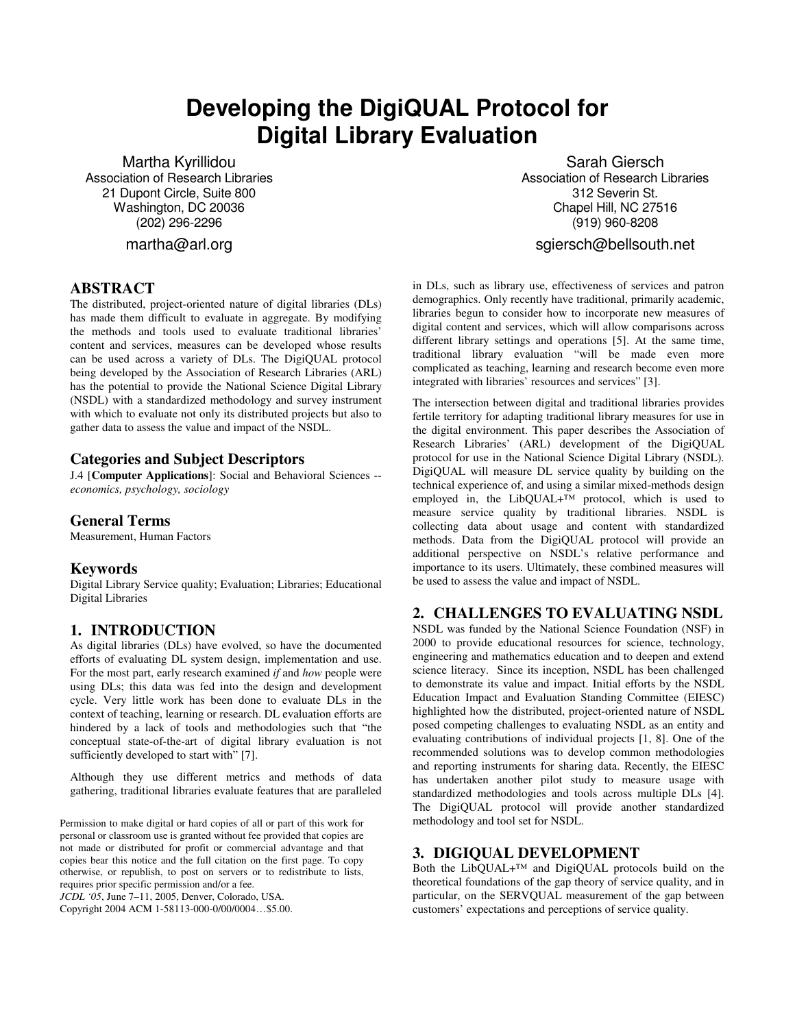# **Developing the DigiQUAL Protocol for Digital Library Evaluation**

Martha Kyrillidou Association of Research Libraries 21 Dupont Circle, Suite 800 Washington, DC 20036 (202) 296-2296

martha@arl.org

## **ABSTRACT**

The distributed, project-oriented nature of digital libraries (DLs) has made them difficult to evaluate in aggregate. By modifying the methods and tools used to evaluate traditional libraries' content and services, measures can be developed whose results can be used across a variety of DLs. The DigiQUAL protocol being developed by the Association of Research Libraries (ARL) has the potential to provide the National Science Digital Library (NSDL) with a standardized methodology and survey instrument with which to evaluate not only its distributed projects but also to gather data to assess the value and impact of the NSDL.

#### **Categories and Subject Descriptors**

J.4 [**Computer Applications**]: Social and Behavioral Sciences - *economics, psychology, sociology*

#### **General Terms**

Measurement, Human Factors

#### **Keywords**

Digital Library Service quality; Evaluation; Libraries; Educational Digital Libraries

#### **1. INTRODUCTION**

As digital libraries (DLs) have evolved, so have the documented efforts of evaluating DL system design, implementation and use. For the most part, early research examined *if* and *how* people were using DLs; this data was fed into the design and development cycle. Very little work has been done to evaluate DLs in the context of teaching, learning or research. DL evaluation efforts are hindered by a lack of tools and methodologies such that "the conceptual state-of-the-art of digital library evaluation is not sufficiently developed to start with" [7].

Although they use different metrics and methods of data gathering, traditional libraries evaluate features that are paralleled

Permission to make digital or hard copies of all or part of this work for personal or classroom use is granted without fee provided that copies are not made or distributed for profit or commercial advantage and that copies bear this notice and the full citation on the first page. To copy otherwise, or republish, to post on servers or to redistribute to lists, requires prior specific permission and/or a fee.

*JCDL '05*, June 7–11, 2005, Denver, Colorado, USA.

Copyright 2004 ACM 1-58113-000-0/00/0004…\$5.00.

Sarah Giersch Association of Research Libraries 312 Severin St. Chapel Hill, NC 27516 (919) 960-8208

sgiersch@bellsouth.net

in DLs, such as library use, effectiveness of services and patron demographics. Only recently have traditional, primarily academic, libraries begun to consider how to incorporate new measures of digital content and services, which will allow comparisons across different library settings and operations [5]. At the same time, traditional library evaluation "will be made even more complicated as teaching, learning and research become even more integrated with libraries' resources and services" [3].

The intersection between digital and traditional libraries provides fertile territory for adapting traditional library measures for use in the digital environment. This paper describes the Association of Research Libraries' (ARL) development of the DigiQUAL protocol for use in the National Science Digital Library (NSDL). DigiQUAL will measure DL service quality by building on the technical experience of, and using a similar mixed-methods design employed in, the LibQUAL+™ protocol, which is used to measure service quality by traditional libraries. NSDL is collecting data about usage and content with standardized methods. Data from the DigiQUAL protocol will provide an additional perspective on NSDL's relative performance and importance to its users. Ultimately, these combined measures will be used to assess the value and impact of NSDL.

# **2. CHALLENGES TO EVALUATING NSDL**

NSDL was funded by the National Science Foundation (NSF) in 2000 to provide educational resources for science, technology, engineering and mathematics education and to deepen and extend science literacy. Since its inception, NSDL has been challenged to demonstrate its value and impact. Initial efforts by the NSDL Education Impact and Evaluation Standing Committee (EIESC) highlighted how the distributed, project-oriented nature of NSDL posed competing challenges to evaluating NSDL as an entity and evaluating contributions of individual projects [1, 8]. One of the recommended solutions was to develop common methodologies and reporting instruments for sharing data. Recently, the EIESC has undertaken another pilot study to measure usage with standardized methodologies and tools across multiple DLs [4]. The DigiQUAL protocol will provide another standardized methodology and tool set for NSDL.

#### **3. DIGIQUAL DEVELOPMENT**

Both the LibQUAL+™ and DigiQUAL protocols build on the theoretical foundations of the gap theory of service quality, and in particular, on the SERVQUAL measurement of the gap between customers' expectations and perceptions of service quality.